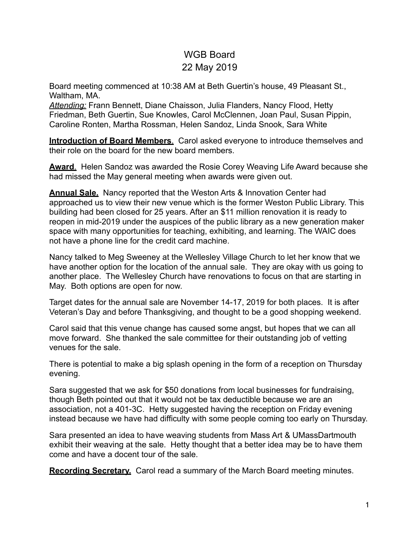## WGB Board 22 May 2019

Board meeting commenced at 10:38 AM at Beth Guertin's house, 49 Pleasant St., Waltham, MA.

*Attending:* Frann Bennett, Diane Chaisson, Julia Flanders, Nancy Flood, Hetty Friedman, Beth Guertin, Sue Knowles, Carol McClennen, Joan Paul, Susan Pippin, Caroline Ronten, Martha Rossman, Helen Sandoz, Linda Snook, Sara White

**Introduction of Board Members**. Carol asked everyone to introduce themselves and their role on the board for the new board members.

**Award**. Helen Sandoz was awarded the Rosie Corey Weaving Life Award because she had missed the May general meeting when awards were given out.

**Annual Sale.** Nancy reported that the Weston Arts & Innovation Center had approached us to view their new venue which is the former Weston Public Library. This building had been closed for 25 years. After an \$11 million renovation it is ready to reopen in mid-2019 under the auspices of the public library as a new generation maker space with many opportunities for teaching, exhibiting, and learning. The WAIC does not have a phone line for the credit card machine.

Nancy talked to Meg Sweeney at the Wellesley Village Church to let her know that we have another option for the location of the annual sale. They are okay with us going to another place. The Wellesley Church have renovations to focus on that are starting in May. Both options are open for now.

Target dates for the annual sale are November 14-17, 2019 for both places. It is after Veteran's Day and before Thanksgiving, and thought to be a good shopping weekend.

Carol said that this venue change has caused some angst, but hopes that we can all move forward. She thanked the sale committee for their outstanding job of vetting venues for the sale.

There is potential to make a big splash opening in the form of a reception on Thursday evening.

Sara suggested that we ask for \$50 donations from local businesses for fundraising, though Beth pointed out that it would not be tax deductible because we are an association, not a 401-3C. Hetty suggested having the reception on Friday evening instead because we have had difficulty with some people coming too early on Thursday.

Sara presented an idea to have weaving students from Mass Art & UMassDartmouth exhibit their weaving at the sale. Hetty thought that a better idea may be to have them come and have a docent tour of the sale.

**Recording Secretary.** Carol read a summary of the March Board meeting minutes.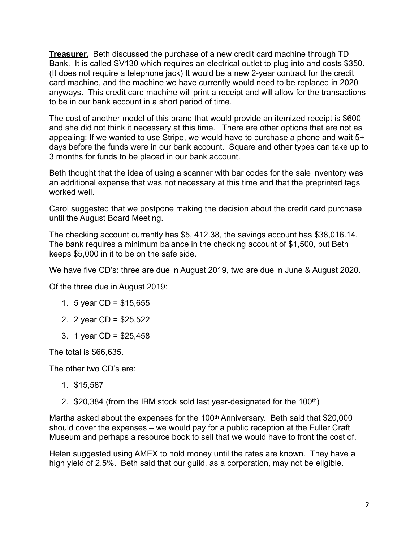**Treasurer.** Beth discussed the purchase of a new credit card machine through TD Bank. It is called SV130 which requires an electrical outlet to plug into and costs \$350. (It does not require a telephone jack) It would be a new 2-year contract for the credit card machine, and the machine we have currently would need to be replaced in 2020 anyways. This credit card machine will print a receipt and will allow for the transactions to be in our bank account in a short period of time.

The cost of another model of this brand that would provide an itemized receipt is \$600 and she did not think it necessary at this time. There are other options that are not as appealing: If we wanted to use Stripe, we would have to purchase a phone and wait 5+ days before the funds were in our bank account. Square and other types can take up to 3 months for funds to be placed in our bank account.

Beth thought that the idea of using a scanner with bar codes for the sale inventory was an additional expense that was not necessary at this time and that the preprinted tags worked well.

Carol suggested that we postpone making the decision about the credit card purchase until the August Board Meeting.

The checking account currently has \$5, 412.38, the savings account has \$38,016.14. The bank requires a minimum balance in the checking account of \$1,500, but Beth keeps \$5,000 in it to be on the safe side.

We have five CD's: three are due in August 2019, two are due in June & August 2020.

Of the three due in August 2019:

- 1. 5 year CD = \$15,655
- 2. 2 year CD = \$25,522
- 3. 1 year CD = \$25,458

The total is \$66,635.

The other two CD's are:

- 1. \$15,587
- 2.  $$20,384$  (from the IBM stock sold last year-designated for the 100<sup>th</sup>)

Martha asked about the expenses for the 100<sup>th</sup> Anniversary. Beth said that \$20,000 should cover the expenses – we would pay for a public reception at the Fuller Craft Museum and perhaps a resource book to sell that we would have to front the cost of.

Helen suggested using AMEX to hold money until the rates are known. They have a high yield of 2.5%. Beth said that our guild, as a corporation, may not be eligible.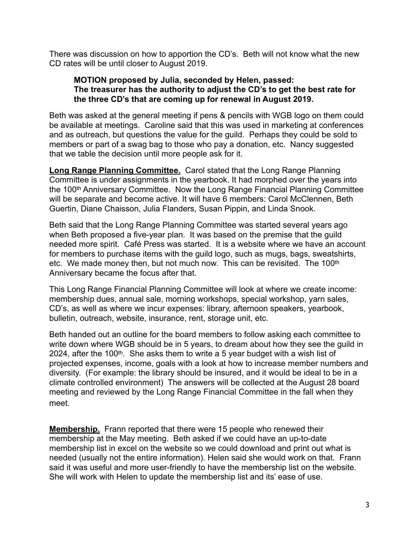There was discussion on how to apportion the CD's. Beth will not know what the new CD rates will be until closer to August 2019.

## **MOTION proposed by Julia, seconded by Helen, passed: The treasurer has the authority to adjust the CD's to get the best rate for the three CD's that are coming up for renewal in August 2019.**

Beth was asked at the general meeting if pens & pencils with WGB logo on them could be available at meetings. Caroline said that this was used in marketing at conferences and as outreach, but questions the value for the guild. Perhaps they could be sold to members or part of a swag bag to those who pay a donation, etc. Nancy suggested that we table the decision until more people ask for it.

**Long Range Planning Committee.** Carol stated that the Long Range Planning Committee is under assignments in the yearbook. It had morphed over the years into the 100th Anniversary Committee. Now the Long Range Financial Planning Committee will be separate and become active. It will have 6 members: Carol McClennen, Beth Guertin, Diane Chaisson, Julia Flanders, Susan Pippin, and Linda Snook.

Beth said that the Long Range Planning Committee was started several years ago when Beth proposed a five-year plan. It was based on the premise that the guild needed more spirit. Café Press was started. It is a website where we have an account for members to purchase items with the guild logo, such as mugs, bags, sweatshirts, etc. We made money then, but not much now. This can be revisited. The 100<sup>th</sup> Anniversary became the focus after that.

This Long Range Financial Planning Committee will look at where we create income: membership dues, annual sale, morning workshops, special workshop, yarn sales, CD's, as well as where we incur expenses: library, afternoon speakers, yearbook, bulletin, outreach, website, insurance, rent, storage unit, etc.

Beth handed out an outline for the board members to follow asking each committee to write down where WGB should be in 5 years, to dream about how they see the guild in 2024, after the 100<sup>th</sup>. She asks them to write a 5 year budget with a wish list of projected expenses, income, goals with a look at how to increase member numbers and diversity. (For example: the library should be insured, and it would be ideal to be in a climate controlled environment) The answers will be collected at the August 28 board meeting and reviewed by the Long Range Financial Committee in the fall when they meet.

**Membership.** Frann reported that there were 15 people who renewed their membership at the May meeting. Beth asked if we could have an up-to-date membership list in excel on the website so we could download and print out what is needed (usually not the entire information). Helen said she would work on that. Frann said it was useful and more user-friendly to have the membership list on the website. She will work with Helen to update the membership list and its' ease of use.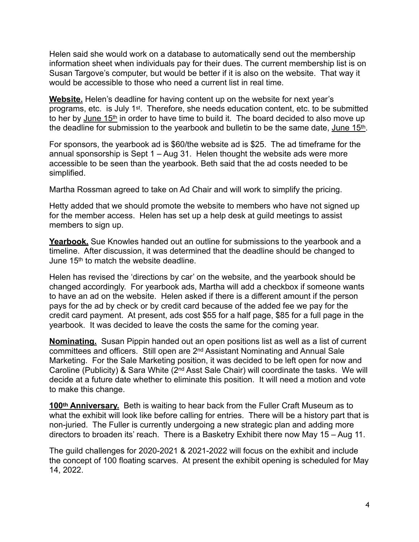Helen said she would work on a database to automatically send out the membership information sheet when individuals pay for their dues. The current membership list is on Susan Targove's computer, but would be better if it is also on the website. That way it would be accessible to those who need a current list in real time.

**Website.** Helen's deadline for having content up on the website for next year's programs, etc. is July 1st. Therefore, she needs education content, etc. to be submitted to her by June 15<sup>th</sup> in order to have time to build it. The board decided to also move up the deadline for submission to the yearbook and bulletin to be the same date, June 15<sup>th</sup>.

For sponsors, the yearbook ad is \$60/the website ad is \$25. The ad timeframe for the annual sponsorship is Sept 1 – Aug 31. Helen thought the website ads were more accessible to be seen than the yearbook. Beth said that the ad costs needed to be simplified.

Martha Rossman agreed to take on Ad Chair and will work to simplify the pricing.

Hetty added that we should promote the website to members who have not signed up for the member access. Helen has set up a help desk at guild meetings to assist members to sign up.

Yearbook. Sue Knowles handed out an outline for submissions to the yearbook and a timeline. After discussion, it was determined that the deadline should be changed to June 15th to match the website deadline.

Helen has revised the 'directions by car' on the website, and the yearbook should be changed accordingly. For yearbook ads, Martha will add a checkbox if someone wants to have an ad on the website. Helen asked if there is a different amount if the person pays for the ad by check or by credit card because of the added fee we pay for the credit card payment. At present, ads cost \$55 for a half page, \$85 for a full page in the yearbook. It was decided to leave the costs the same for the coming year.

**Nominating.** Susan Pippin handed out an open positions list as well as a list of current committees and officers. Still open are 2nd Assistant Nominating and Annual Sale Marketing. For the Sale Marketing position, it was decided to be left open for now and Caroline (Publicity) & Sara White (2nd Asst Sale Chair) will coordinate the tasks. We will decide at a future date whether to eliminate this position. It will need a motion and vote to make this change.

100<sup>th</sup> Anniversary. Beth is waiting to hear back from the Fuller Craft Museum as to what the exhibit will look like before calling for entries. There will be a history part that is non-juried. The Fuller is currently undergoing a new strategic plan and adding more directors to broaden its' reach. There is a Basketry Exhibit there now May 15 – Aug 11.

The guild challenges for 2020-2021 & 2021-2022 will focus on the exhibit and include the concept of 100 floating scarves. At present the exhibit opening is scheduled for May 14, 2022.